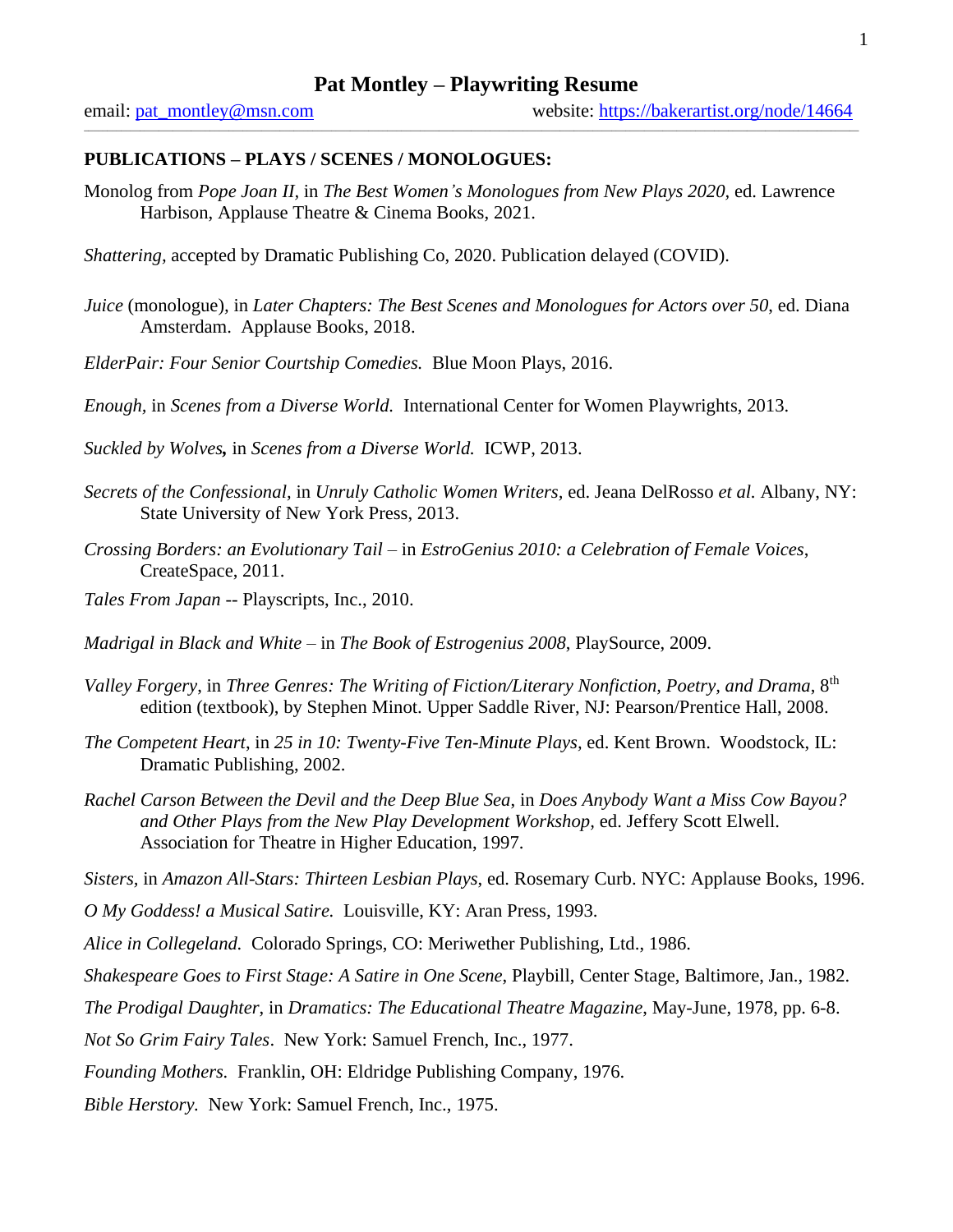$\_$  , and the state of the state of the state of the state of the state of the state of the state of the state of the state of the state of the state of the state of the state of the state of the state of the state of the

# **PUBLICATIONS – PLAYS / SCENES / MONOLOGUES:**

Monolog from *Pope Joan II,* in *The Best Women's Monologues from New Plays 2020,* ed. Lawrence Harbison, Applause Theatre & Cinema Books, 2021.

*Shattering,* accepted by Dramatic Publishing Co, 2020. Publication delayed (COVID).

- *Juice* (monologue)*,* in *Later Chapters: The Best Scenes and Monologues for Actors over 50*, ed. Diana Amsterdam. Applause Books, 2018.
- *ElderPair: Four Senior Courtship Comedies.* Blue Moon Plays, 2016.

*Enough,* in *Scenes from a Diverse World.* International Center for Women Playwrights, 2013.

*Suckled by Wolves,* in *Scenes from a Diverse World.* ICWP, 2013.

- *Secrets of the Confessional,* in *Unruly Catholic Women Writers,* ed. Jeana DelRosso *et al.* Albany, NY: State University of New York Press, 2013.
- *Crossing Borders: an Evolutionary Tail –* in *EstroGenius 2010: a Celebration of Female Voices*, CreateSpace, 2011.
- *Tales From Japan --* Playscripts, Inc., 2010.

*Madrigal in Black and White* – in *The Book of Estrogenius 2008*, PlaySource, 2009.

- *Valley Forgery*, in *Three Genres: The Writing of Fiction/Literary Nonfiction, Poetry, and Drama*, 8th edition (textbook), by Stephen Minot. Upper Saddle River, NJ: Pearson/Prentice Hall, 2008.
- *The Competent Heart*, in *25 in 10: Twenty-Five Ten-Minute Plays,* ed. Kent Brown. Woodstock, IL: Dramatic Publishing, 2002.
- *Rachel Carson Between the Devil and the Deep Blue Sea*, in *Does Anybody Want a Miss Cow Bayou? and Other Plays from the New Play Development Workshop,* ed. Jeffery Scott Elwell. Association for Theatre in Higher Education, 1997.

*Sisters,* in *Amazon All-Stars: Thirteen Lesbian Plays*, ed. Rosemary Curb. NYC: Applause Books, 1996.

- *O My Goddess! a Musical Satire.* Louisville, KY: Aran Press*,* 1993.
- *Alice in Collegeland.* Colorado Springs, CO: Meriwether Publishing, Ltd., 1986.
- *Shakespeare Goes to First Stage: A Satire in One Scene*, Playbill, Center Stage, Baltimore, Jan., 1982.

*The Prodigal Daughter*, in *Dramatics: The Educational Theatre Magazine*, May-June, 1978, pp. 6-8.

*Not So Grim Fairy Tales*. New York: Samuel French, Inc., 1977.

*Founding Mothers.* Franklin, OH: Eldridge Publishing Company, 1976.

*Bible Herstory.* New York: Samuel French, Inc., 1975.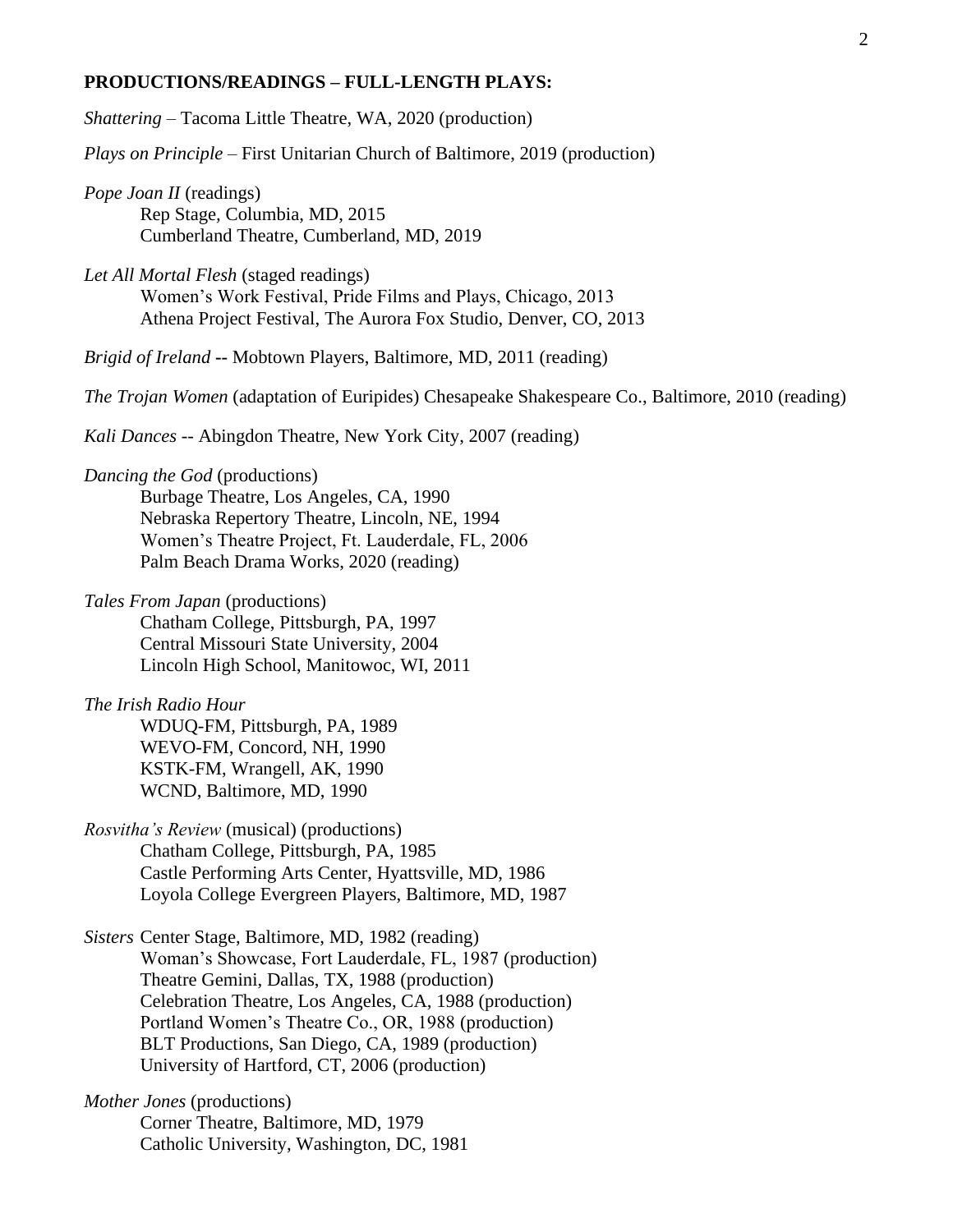#### **PRODUCTIONS/READINGS – FULL-LENGTH PLAYS:**

*Shattering* – Tacoma Little Theatre, WA, 2020 (production)

*Plays on Principle –* First Unitarian Church of Baltimore, 2019 (production)

*Pope Joan II* (readings) Rep Stage*,* Columbia, MD, 2015 Cumberland Theatre, Cumberland, MD, 2019

*Let All Mortal Flesh* (staged readings) Women's Work Festival, Pride Films and Plays, Chicago, 2013 Athena Project Festival, The Aurora Fox Studio, Denver, CO, 2013

*Brigid of Ireland* **--** Mobtown Players, Baltimore, MD, 2011 (reading)

*The Trojan Women* (adaptation of Euripides) Chesapeake Shakespeare Co., Baltimore, 2010 (reading)

*Kali Dances --* Abingdon Theatre, New York City, 2007 (reading)

### *Dancing the God* (productions)

Burbage Theatre, Los Angeles, CA, 1990 Nebraska Repertory Theatre, Lincoln, NE, 1994 Women's Theatre Project, Ft. Lauderdale, FL, 2006 Palm Beach Drama Works, 2020 (reading)

*Tales From Japan* (productions) Chatham College, Pittsburgh, PA, 1997 Central Missouri State University, 2004 Lincoln High School, Manitowoc, WI, 2011

*The Irish Radio Hour*  WDUQ-FM, Pittsburgh, PA, 1989 WEVO-FM, Concord, NH, 1990 KSTK-FM, Wrangell, AK, 1990 WCND, Baltimore, MD, 1990

*Rosvitha's Review* (musical) (productions) Chatham College, Pittsburgh, PA, 1985 Castle Performing Arts Center, Hyattsville, MD, 1986 Loyola College Evergreen Players, Baltimore, MD, 1987

*Sisters* Center Stage, Baltimore, MD, 1982 (reading) Woman's Showcase, Fort Lauderdale, FL, 1987 (production) Theatre Gemini, Dallas, TX, 1988 (production) Celebration Theatre, Los Angeles, CA, 1988 (production) Portland Women's Theatre Co., OR, 1988 (production) BLT Productions, San Diego, CA, 1989 (production) University of Hartford, CT, 2006 (production)

*Mother Jones* (productions) Corner Theatre, Baltimore, MD, 1979 Catholic University, Washington, DC, 1981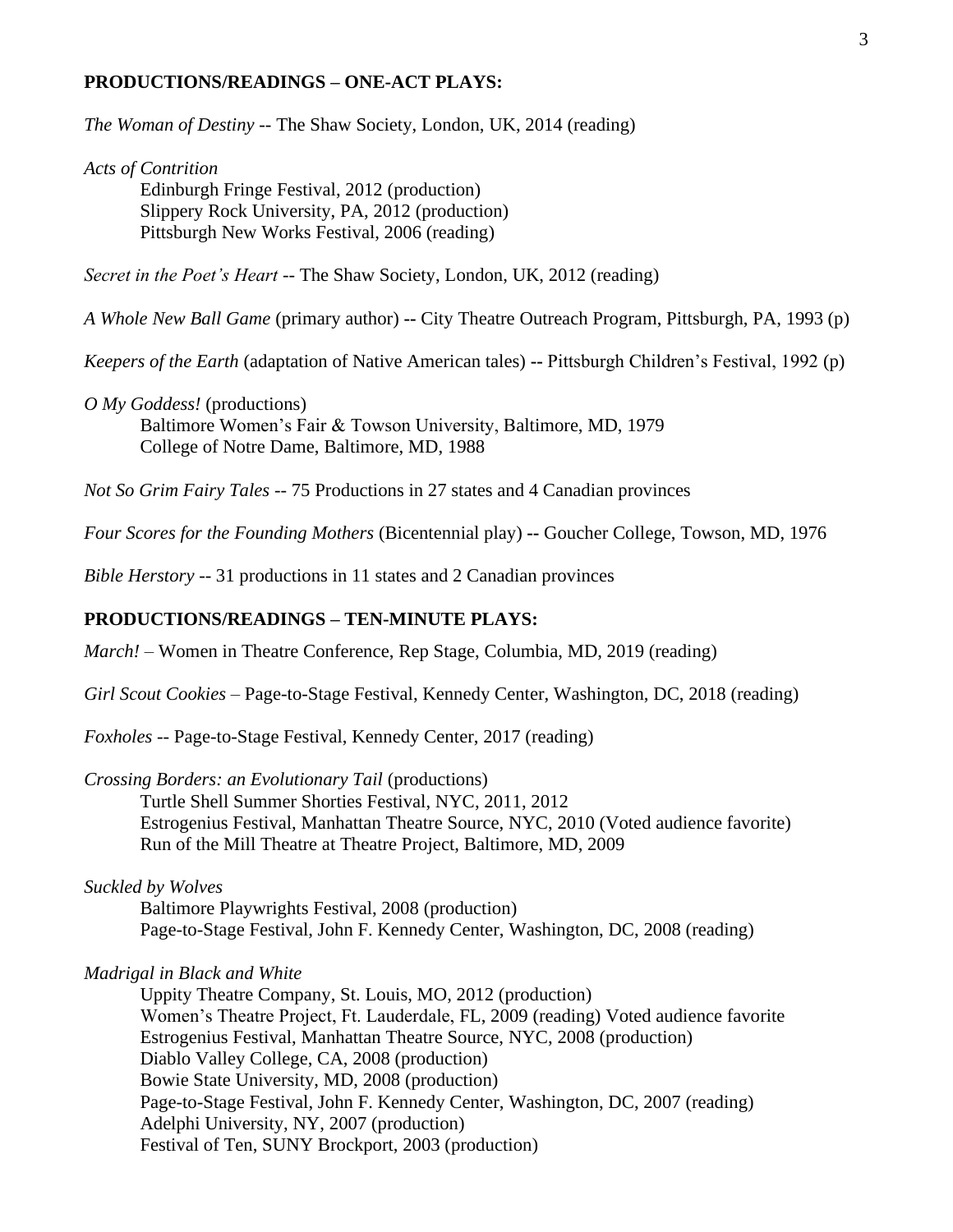#### **PRODUCTIONS/READINGS – ONE-ACT PLAYS:**

*The Woman of Destiny --* The Shaw Society, London, UK, 2014 (reading)

*Acts of Contrition* 

Edinburgh Fringe Festival, 2012 (production) Slippery Rock University, PA, 2012 (production) Pittsburgh New Works Festival, 2006 (reading)

*Secret in the Poet's Heart --* The Shaw Society, London, UK, 2012 (reading)

*A Whole New Ball Game* (primary author) **--** City Theatre Outreach Program, Pittsburgh, PA, 1993 (p)

*Keepers of the Earth* (adaptation of Native American tales) **--** Pittsburgh Children's Festival, 1992 (p)

*O My Goddess!* (productions)

Baltimore Women's Fair & Towson University, Baltimore, MD, 1979 College of Notre Dame, Baltimore, MD, 1988

*Not So Grim Fairy Tales --* 75 Productions in 27 states and 4 Canadian provinces

*Four Scores for the Founding Mothers* (Bicentennial play) **--** Goucher College, Towson, MD, 1976

*Bible Herstory --* 31 productions in 11 states and 2 Canadian provinces

# **PRODUCTIONS/READINGS – TEN-MINUTE PLAYS:**

*March! –* Women in Theatre Conference, Rep Stage, Columbia, MD, 2019 (reading)

*Girl Scout Cookies* – Page-to-Stage Festival, Kennedy Center, Washington, DC, 2018 (reading)

*Foxholes --* Page-to-Stage Festival, Kennedy Center, 2017 (reading)

*Crossing Borders: an Evolutionary Tail* (productions)

Turtle Shell Summer Shorties Festival, NYC, 2011, 2012 Estrogenius Festival, Manhattan Theatre Source, NYC, 2010 (Voted audience favorite) Run of the Mill Theatre at Theatre Project, Baltimore, MD, 2009

#### *Suckled by Wolves*

Baltimore Playwrights Festival, 2008 (production) Page-to-Stage Festival, John F. Kennedy Center, Washington, DC, 2008 (reading)

*Madrigal in Black and White* 

Uppity Theatre Company, St. Louis, MO, 2012 (production) Women's Theatre Project, Ft. Lauderdale, FL, 2009 (reading) Voted audience favorite Estrogenius Festival, Manhattan Theatre Source, NYC, 2008 (production) Diablo Valley College, CA, 2008 (production) Bowie State University, MD, 2008 (production) Page-to-Stage Festival, John F. Kennedy Center, Washington, DC, 2007 (reading) Adelphi University, NY, 2007 (production) Festival of Ten, SUNY Brockport, 2003 (production)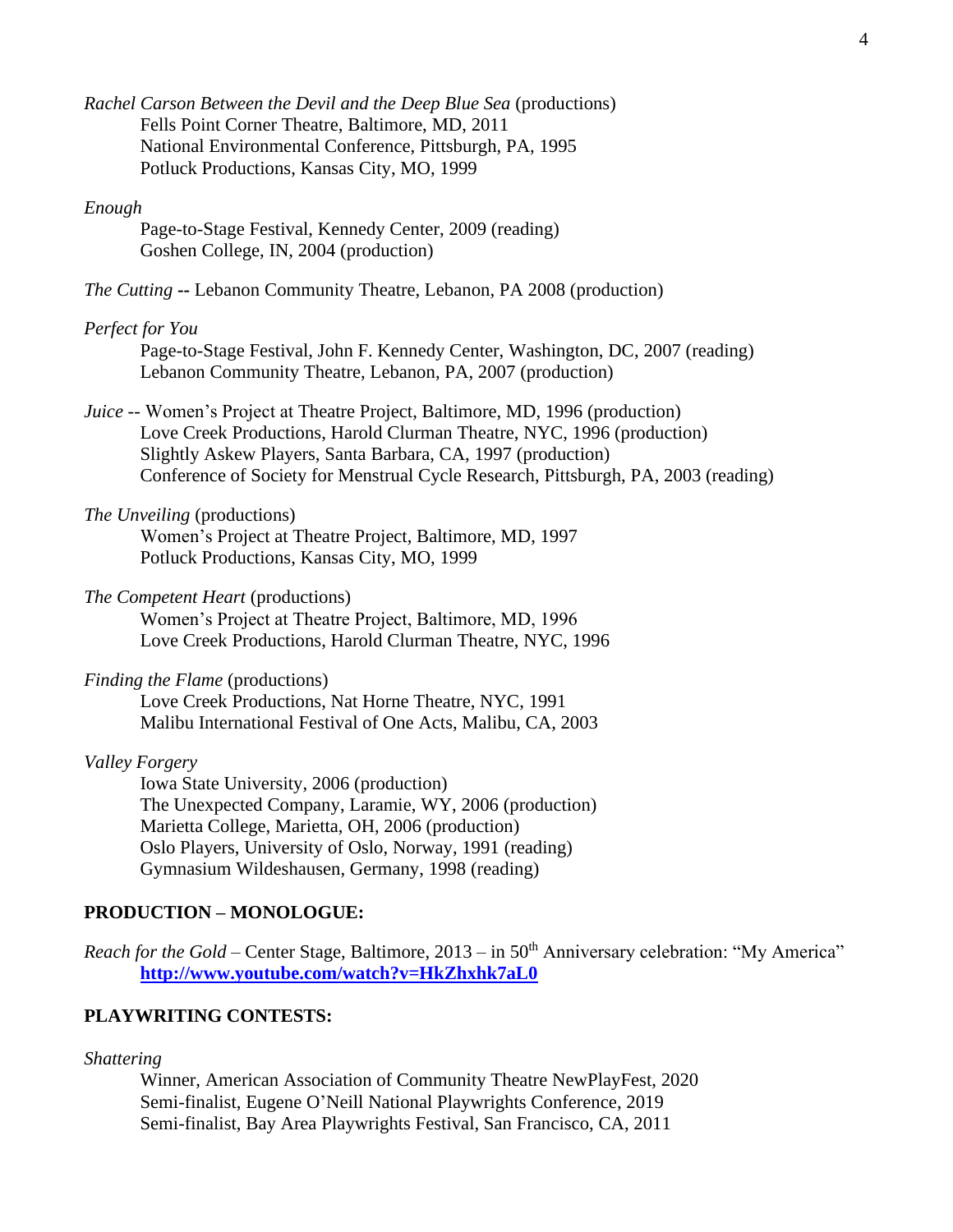*Rachel Carson Between the Devil and the Deep Blue Sea (productions)* Fells Point Corner Theatre, Baltimore, MD, 2011 National Environmental Conference, Pittsburgh, PA, 1995 Potluck Productions, Kansas City, MO, 1999

### *Enough*

Page-to-Stage Festival, Kennedy Center, 2009 (reading) Goshen College, IN, 2004 (production)

*The Cutting* **--** Lebanon Community Theatre, Lebanon, PA 2008 (production)

#### *Perfect for You*

Page-to-Stage Festival, John F. Kennedy Center, Washington, DC, 2007 (reading) Lebanon Community Theatre, Lebanon, PA, 2007 (production)

*Juice --* Women's Project at Theatre Project, Baltimore, MD, 1996 (production) Love Creek Productions, Harold Clurman Theatre, NYC, 1996 (production) Slightly Askew Players, Santa Barbara, CA, 1997 (production) Conference of Society for Menstrual Cycle Research, Pittsburgh, PA, 2003 (reading)

# *The Unveiling* (productions)

Women's Project at Theatre Project, Baltimore, MD, 1997 Potluck Productions, Kansas City, MO, 1999

### *The Competent Heart* (productions)

Women's Project at Theatre Project, Baltimore, MD, 1996 Love Creek Productions, Harold Clurman Theatre, NYC, 1996

### *Finding the Flame* (productions)

Love Creek Productions, Nat Horne Theatre, NYC, 1991 Malibu International Festival of One Acts, Malibu, CA, 2003

*Valley Forgery*

Iowa State University, 2006 (production) The Unexpected Company, Laramie, WY, 2006 (production) Marietta College, Marietta, OH, 2006 (production) Oslo Players, University of Oslo, Norway, 1991 (reading) Gymnasium Wildeshausen, Germany, 1998 (reading)

# **PRODUCTION – MONOLOGUE:**

*Reach for the Gold –* Center Stage, Baltimore, 2013 – in 50<sup>th</sup> Anniversary celebration: "My America" **<http://www.youtube.com/watch?v=HkZhxhk7aL0>**

# **PLAYWRITING CONTESTS:**

*Shattering*

Winner, American Association of Community Theatre NewPlayFest, 2020 Semi-finalist, Eugene O'Neill National Playwrights Conference, 2019 Semi-finalist, Bay Area Playwrights Festival, San Francisco, CA, 2011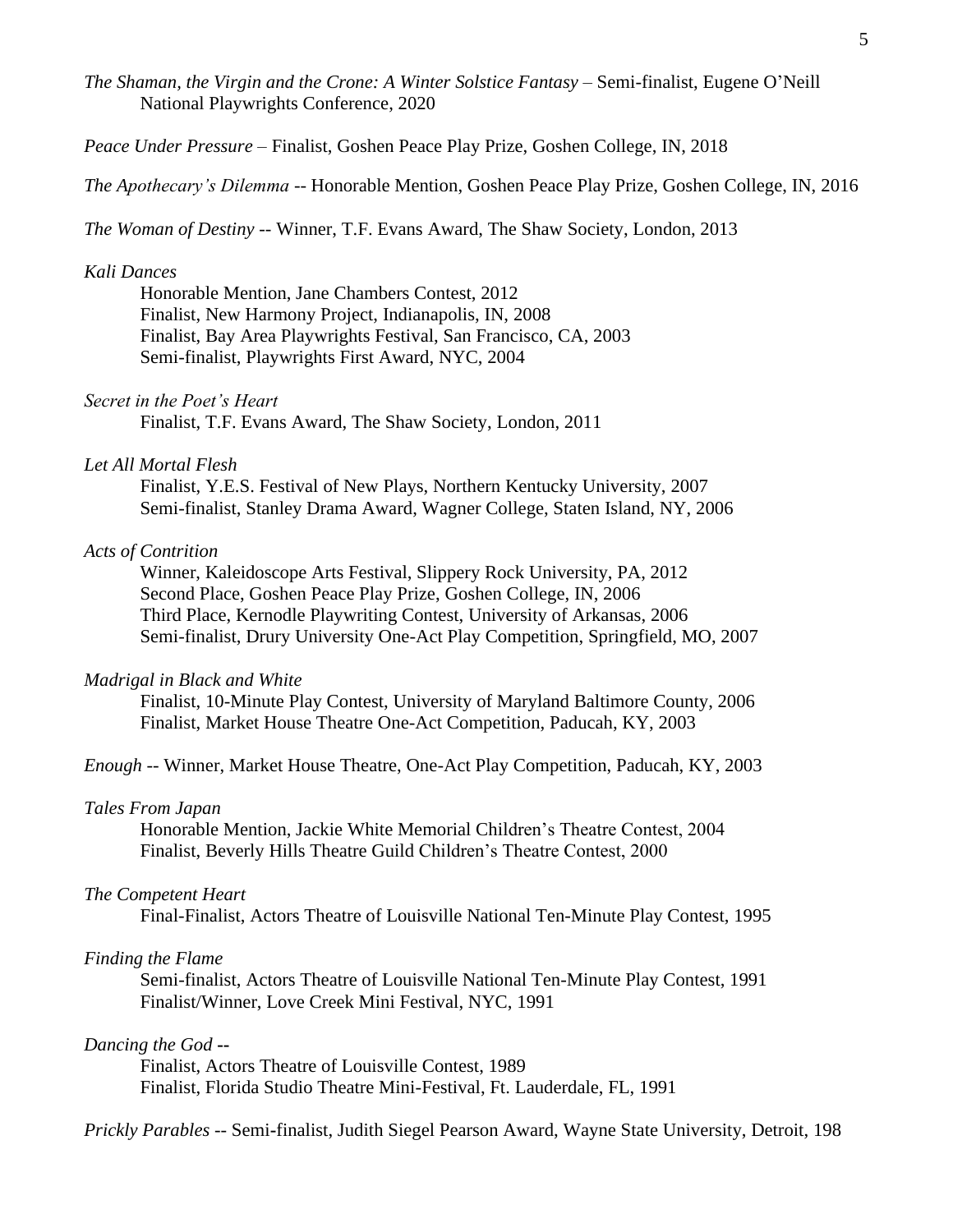*The Shaman, the Virgin and the Crone: A Winter Solstice Fantasy –* Semi-finalist, Eugene O'Neill National Playwrights Conference, 2020

*Peace Under Pressure –* Finalist, Goshen Peace Play Prize, Goshen College, IN, 2018

*The Apothecary's Dilemma --* Honorable Mention, Goshen Peace Play Prize, Goshen College, IN, 2016

*The Woman of Destiny --* Winner, T.F. Evans Award, The Shaw Society, London, 2013

#### *Kali Dances*

Honorable Mention, Jane Chambers Contest, 2012 Finalist, New Harmony Project, Indianapolis, IN, 2008 Finalist, Bay Area Playwrights Festival, San Francisco, CA, 2003 Semi-finalist, Playwrights First Award, NYC, 2004

#### *Secret in the Poet's Heart*

Finalist, T.F. Evans Award, The Shaw Society, London, 2011

### *Let All Mortal Flesh*

Finalist, Y.E.S. Festival of New Plays, Northern Kentucky University, 2007 Semi-finalist, Stanley Drama Award, Wagner College, Staten Island, NY, 2006

### *Acts of Contrition*

Winner, Kaleidoscope Arts Festival, Slippery Rock University, PA, 2012 Second Place, Goshen Peace Play Prize, Goshen College, IN, 2006 Third Place, Kernodle Playwriting Contest, University of Arkansas, 2006 Semi-finalist, Drury University One-Act Play Competition, Springfield, MO, 2007

#### *Madrigal in Black and White*

Finalist, 10-Minute Play Contest, University of Maryland Baltimore County, 2006 Finalist, Market House Theatre One-Act Competition, Paducah, KY, 2003

*Enough --* Winner, Market House Theatre, One-Act Play Competition, Paducah, KY, 2003

### *Tales From Japan*

Honorable Mention, Jackie White Memorial Children's Theatre Contest, 2004 Finalist, Beverly Hills Theatre Guild Children's Theatre Contest, 2000

#### *The Competent Heart*

Final-Finalist, Actors Theatre of Louisville National Ten-Minute Play Contest, 1995

# *Finding the Flame*

Semi-finalist, Actors Theatre of Louisville National Ten-Minute Play Contest, 1991 Finalist/Winner, Love Creek Mini Festival, NYC, 1991

# *Dancing the God* **--**

Finalist, Actors Theatre of Louisville Contest, 1989 Finalist, Florida Studio Theatre Mini-Festival, Ft. Lauderdale, FL, 1991

*Prickly Parables --* Semi**-**finalist, Judith Siegel Pearson Award, Wayne State University, Detroit, 198